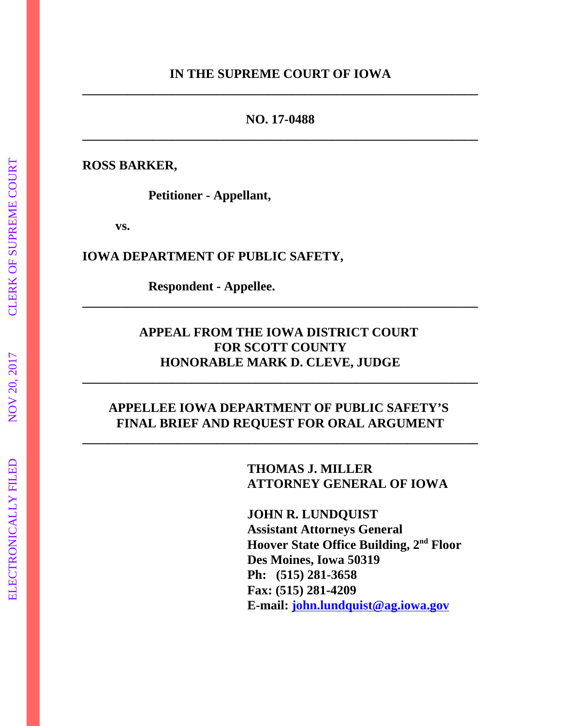## **IN THE SUPREME COURT OF IOWA \_\_\_\_\_\_\_\_\_\_\_\_\_\_\_\_\_\_\_\_\_\_\_\_\_\_\_\_\_\_\_\_\_\_\_\_\_\_\_\_\_\_\_\_\_\_\_\_\_\_\_\_\_\_\_\_\_\_\_\_\_\_**

## **NO. 17-0488 \_\_\_\_\_\_\_\_\_\_\_\_\_\_\_\_\_\_\_\_\_\_\_\_\_\_\_\_\_\_\_\_\_\_\_\_\_\_\_\_\_\_\_\_\_\_\_\_\_\_\_\_\_\_\_\_\_\_\_\_\_\_**

**ROSS BARKER,**

**Petitioner - Appellant,**

**vs.**

**IOWA DEPARTMENT OF PUBLIC SAFETY,** 

**Respondent - Appellee.**

## **APPEAL FROM THE IOWA DISTRICT COURT FOR SCOTT COUNTY HONORABLE MARK D. CLEVE, JUDGE**

**\_\_\_\_\_\_\_\_\_\_\_\_\_\_\_\_\_\_\_\_\_\_\_\_\_\_\_\_\_\_\_\_\_\_\_\_\_\_\_\_\_\_\_\_\_\_\_\_\_\_\_\_\_\_\_\_\_\_\_\_\_\_**

**\_\_\_\_\_\_\_\_\_\_\_\_\_\_\_\_\_\_\_\_\_\_\_\_\_\_\_\_\_\_\_\_\_\_\_\_\_\_\_\_\_\_\_\_\_\_\_\_\_\_\_\_\_\_\_\_\_\_\_\_\_\_**

## **APPELLEE IOWA DEPARTMENT OF PUBLIC SAFETY'S FINAL BRIEF AND REQUEST FOR ORAL ARGUMENT**

**\_\_\_\_\_\_\_\_\_\_\_\_\_\_\_\_\_\_\_\_\_\_\_\_\_\_\_\_\_\_\_\_\_\_\_\_\_\_\_\_\_\_\_\_\_\_\_\_\_\_\_\_\_\_\_\_\_\_\_\_\_\_**

**THOMAS J. MILLER ATTORNEY GENERAL OF IOWA**

**JOHN R. LUNDQUIST Assistant Attorneys General Hoover State Office Building, 2nd Floor Des Moines, Iowa 50319 Ph: (515) 281-3658 Fax: (515) 281-4209 E-mail: john.lundquist@ag.iowa.gov**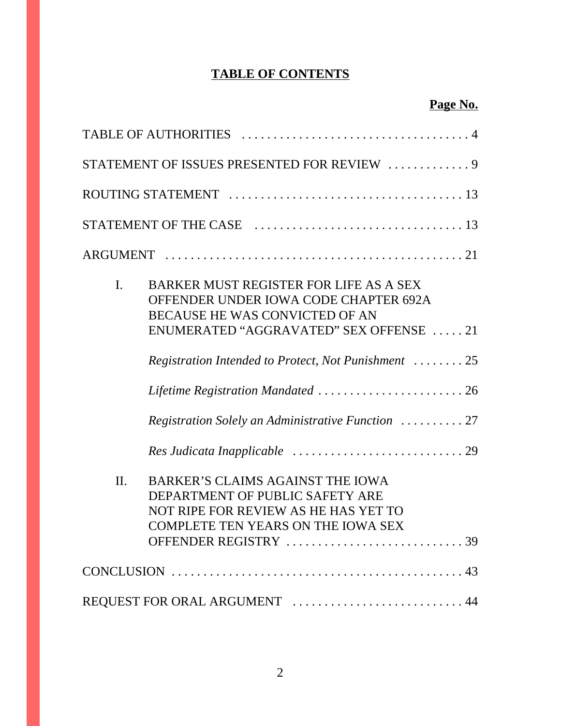# **TABLE OF CONTENTS**

|     | STATEMENT OF ISSUES PRESENTED FOR REVIEW  9                                                                                                                                                                         |
|-----|---------------------------------------------------------------------------------------------------------------------------------------------------------------------------------------------------------------------|
|     |                                                                                                                                                                                                                     |
|     |                                                                                                                                                                                                                     |
|     |                                                                                                                                                                                                                     |
| I.  | BARKER MUST REGISTER FOR LIFE AS A SEX<br>OFFENDER UNDER IOWA CODE CHAPTER 692A<br>BECAUSE HE WAS CONVICTED OF AN<br>ENUMERATED "AGGRAVATED" SEX OFFENSE 21<br>Registration Intended to Protect, Not Punishment  25 |
|     | Lifetime Registration Mandated  26<br>Registration Solely an Administrative Function  27                                                                                                                            |
| II. | BARKER'S CLAIMS AGAINST THE IOWA<br>DEPARTMENT OF PUBLIC SAFETY ARE<br>NOT RIPE FOR REVIEW AS HE HAS YET TO<br><b>COMPLETE TEN YEARS ON THE IOWA SEX</b>                                                            |
|     |                                                                                                                                                                                                                     |
|     | REQUEST FOR ORAL ARGUMENT  44                                                                                                                                                                                       |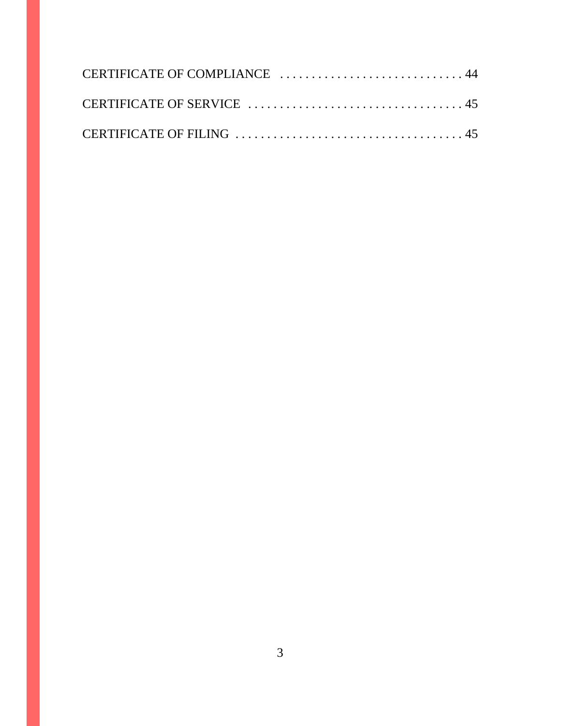| CERTIFICATE OF COMPLIANCE  44 |  |
|-------------------------------|--|
|                               |  |
|                               |  |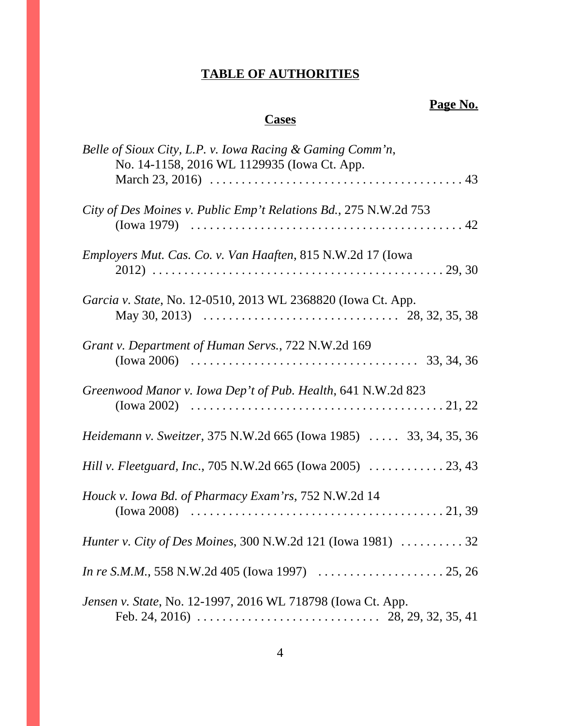# **TABLE OF AUTHORITIES**

# **Page No.**

# **Cases**

| Belle of Sioux City, L.P. v. Iowa Racing & Gaming Comm'n,<br>No. 14-1158, 2016 WL 1129935 (Iowa Ct. App.                                                                           |
|------------------------------------------------------------------------------------------------------------------------------------------------------------------------------------|
|                                                                                                                                                                                    |
| City of Des Moines v. Public Emp't Relations Bd., 275 N.W.2d 753                                                                                                                   |
| <i>Employers Mut. Cas. Co. v. Van Haaften, 815 N.W.2d 17 (Iowa</i>                                                                                                                 |
| Garcia v. State, No. 12-0510, 2013 WL 2368820 (Iowa Ct. App.<br>May 30, 2013) $\ldots \ldots \ldots \ldots \ldots \ldots \ldots \ldots \ldots \ldots \ldots \ldots 28, 32, 35, 38$ |
| Grant v. Department of Human Servs., 722 N.W.2d 169                                                                                                                                |
| Greenwood Manor v. Iowa Dep't of Pub. Health, 641 N.W.2d 823                                                                                                                       |
| <i>Heidemann v. Sweitzer</i> , 375 N.W.2d 665 (Iowa 1985)  33, 34, 35, 36                                                                                                          |
| Hill v. Fleetguard, Inc., 705 N.W.2d 665 (Iowa 2005)  23, 43                                                                                                                       |
| Houck v. Iowa Bd. of Pharmacy Exam'rs, 752 N.W.2d 14                                                                                                                               |
| <i>Hunter v. City of Des Moines, 300 N.W.2d 121 (Iowa 1981)  32</i>                                                                                                                |
|                                                                                                                                                                                    |
| Jensen v. State, No. 12-1997, 2016 WL 718798 (Iowa Ct. App.                                                                                                                        |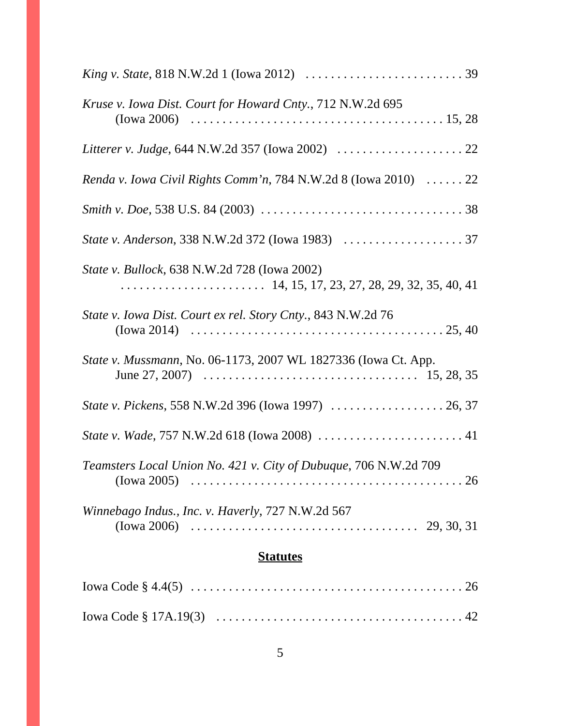| Kruse v. Iowa Dist. Court for Howard Cnty., 712 N.W.2d 695                                                                                                                               |  |  |
|------------------------------------------------------------------------------------------------------------------------------------------------------------------------------------------|--|--|
|                                                                                                                                                                                          |  |  |
| Renda v. Iowa Civil Rights Comm'n, 784 N.W.2d 8 (Iowa 2010) $\ldots \ldots$ 22                                                                                                           |  |  |
|                                                                                                                                                                                          |  |  |
|                                                                                                                                                                                          |  |  |
| State v. Bullock, 638 N.W.2d 728 (Iowa 2002)                                                                                                                                             |  |  |
| State v. Iowa Dist. Court ex rel. Story Cnty., 843 N.W.2d 76                                                                                                                             |  |  |
| State v. Mussmann, No. 06-1173, 2007 WL 1827336 (Iowa Ct. App.<br>June 27, 2007) $\ldots \ldots \ldots \ldots \ldots \ldots \ldots \ldots \ldots \ldots \ldots \ldots \ldots 15, 28, 35$ |  |  |
|                                                                                                                                                                                          |  |  |
|                                                                                                                                                                                          |  |  |
| Teamsters Local Union No. 421 v. City of Dubuque, 706 N.W.2d 709                                                                                                                         |  |  |
| Winnebago Indus., Inc. v. Haverly, 727 N.W.2d 567<br>(Iowa 2006) $\ldots \ldots \ldots \ldots \ldots \ldots \ldots \ldots \ldots \ldots \ldots \ldots \ldots$ 29, 30, 31                 |  |  |
| <b>Statutes</b>                                                                                                                                                                          |  |  |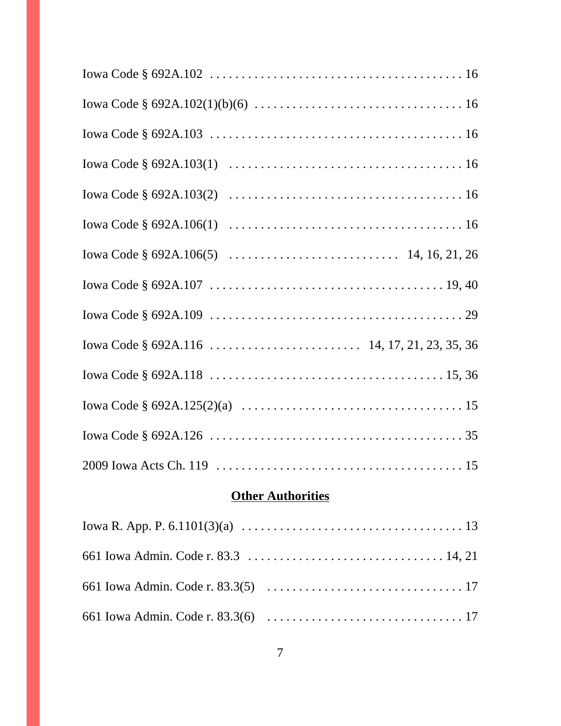| Iowa Code $\S 692A.103(1) \ldots \ldots \ldots \ldots \ldots \ldots \ldots \ldots \ldots \ldots \ldots \ldots 16$ |  |
|-------------------------------------------------------------------------------------------------------------------|--|
|                                                                                                                   |  |
|                                                                                                                   |  |
|                                                                                                                   |  |
|                                                                                                                   |  |
|                                                                                                                   |  |
|                                                                                                                   |  |
|                                                                                                                   |  |
|                                                                                                                   |  |
|                                                                                                                   |  |
|                                                                                                                   |  |

# **Other Authorities**

| Iowa R. App. P. 6.1101(3)(a) $\ldots \ldots \ldots \ldots \ldots \ldots \ldots \ldots \ldots \ldots \ldots \ldots$ |
|--------------------------------------------------------------------------------------------------------------------|
|                                                                                                                    |
|                                                                                                                    |
|                                                                                                                    |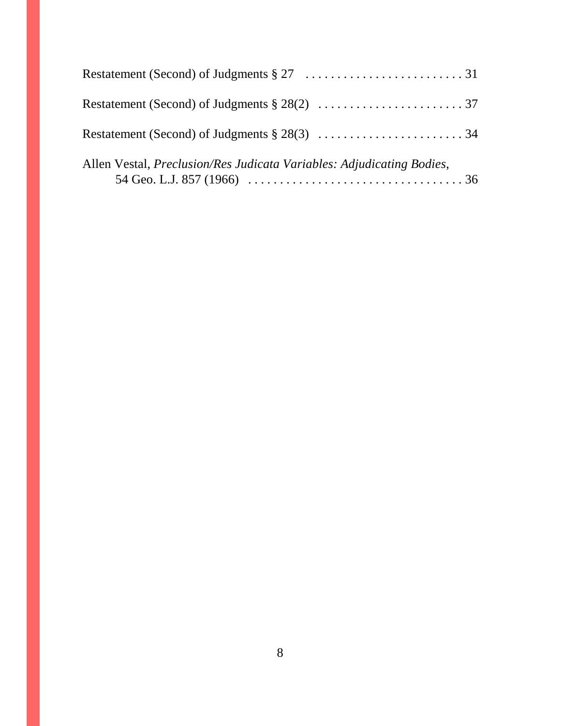| Allen Vestal, <i>Preclusion/Res Judicata Variables: Adjudicating Bodies</i> , |  |
|-------------------------------------------------------------------------------|--|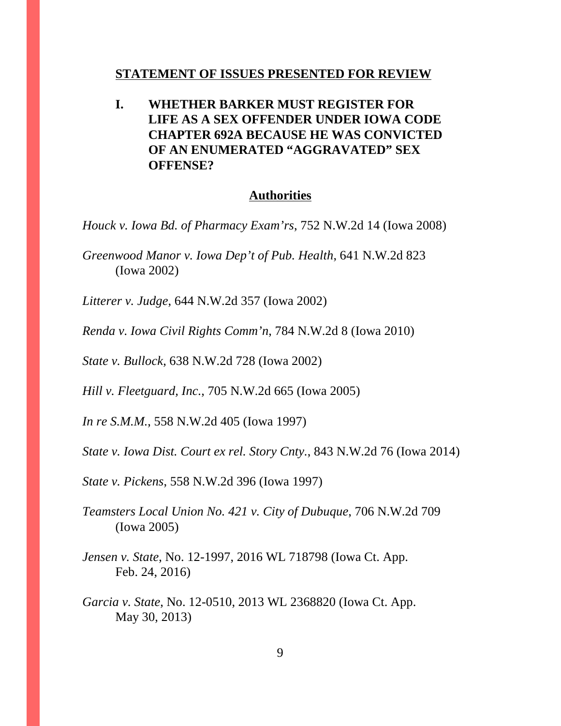#### **STATEMENT OF ISSUES PRESENTED FOR REVIEW**

**I. WHETHER BARKER MUST REGISTER FOR LIFE AS A SEX OFFENDER UNDER IOWA CODE CHAPTER 692A BECAUSE HE WAS CONVICTED OF AN ENUMERATED "AGGRAVATED" SEX OFFENSE?**

#### **Authorities**

*Houck v. Iowa Bd. of Pharmacy Exam'rs*, 752 N.W.2d 14 (Iowa 2008)

*Greenwood Manor v. Iowa Dep't of Pub. Health*, 641 N.W.2d 823 (Iowa 2002)

*Litterer v. Judge*, 644 N.W.2d 357 (Iowa 2002)

*Renda v. Iowa Civil Rights Comm'n*, 784 N.W.2d 8 (Iowa 2010)

*State v. Bullock*, 638 N.W.2d 728 (Iowa 2002)

*Hill v. Fleetguard, Inc.*, 705 N.W.2d 665 (Iowa 2005)

*In re S.M.M.*, 558 N.W.2d 405 (Iowa 1997)

*State v. Iowa Dist. Court ex rel. Story Cnty.*, 843 N.W.2d 76 (Iowa 2014)

*State v. Pickens*, 558 N.W.2d 396 (Iowa 1997)

*Teamsters Local Union No. 421 v. City of Dubuque*, 706 N.W.2d 709 (Iowa 2005)

*Jensen v. State*, No. 12-1997, 2016 WL 718798 (Iowa Ct. App. Feb. 24, 2016)

*Garcia v. State*, No. 12-0510, 2013 WL 2368820 (Iowa Ct. App. May 30, 2013)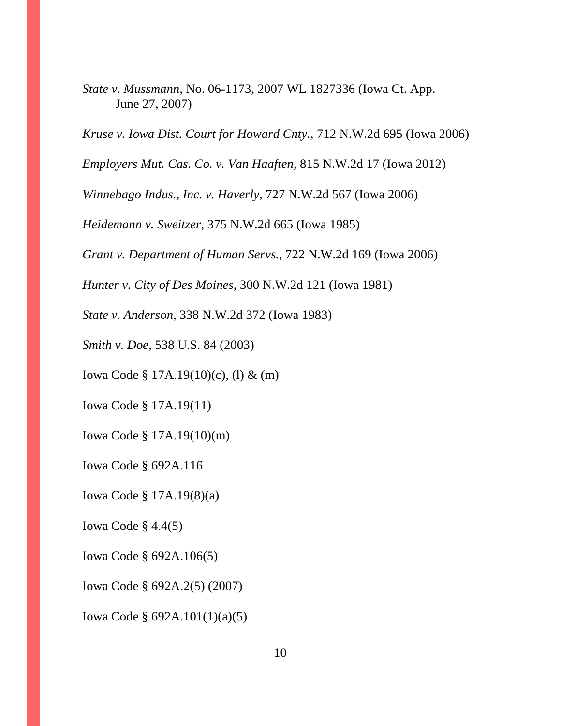*State v. Mussmann*, No. 06-1173, 2007 WL 1827336 (Iowa Ct. App. June 27, 2007)

*Kruse v. Iowa Dist. Court for Howard Cnty.*, 712 N.W.2d 695 (Iowa 2006)

*Employers Mut. Cas. Co. v. Van Haaften*, 815 N.W.2d 17 (Iowa 2012)

*Winnebago Indus., Inc. v. Haverly*, 727 N.W.2d 567 (Iowa 2006)

*Heidemann v. Sweitzer*, 375 N.W.2d 665 (Iowa 1985)

*Grant v. Department of Human Servs.*, 722 N.W.2d 169 (Iowa 2006)

*Hunter v. City of Des Moines*, 300 N.W.2d 121 (Iowa 1981)

*State v. Anderson*, 338 N.W.2d 372 (Iowa 1983)

*Smith v. Doe*, 538 U.S. 84 (2003)

Iowa Code § 17A.19(10)(c), (l) & (m)

Iowa Code § 17A.19(11)

Iowa Code § 17A.19(10)(m)

Iowa Code § 692A.116

Iowa Code § 17A.19(8)(a)

Iowa Code  $\S$  4.4(5)

Iowa Code § 692A.106(5)

Iowa Code § 692A.2(5) (2007)

Iowa Code § 692A.101(1)(a)(5)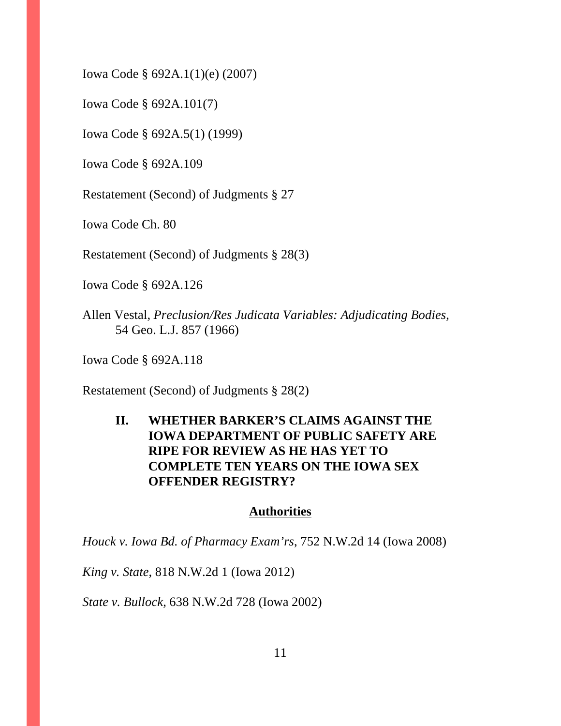Iowa Code § 692A.1(1)(e) (2007)

Iowa Code § 692A.101(7)

Iowa Code § 692A.5(1) (1999)

Iowa Code § 692A.109

Restatement (Second) of Judgments § 27

Iowa Code Ch. 80

Restatement (Second) of Judgments § 28(3)

Iowa Code § 692A.126

Allen Vestal, *Preclusion/Res Judicata Variables: Adjudicating Bodies*, 54 Geo. L.J. 857 (1966)

Iowa Code § 692A.118

Restatement (Second) of Judgments § 28(2)

## **II. WHETHER BARKER'S CLAIMS AGAINST THE IOWA DEPARTMENT OF PUBLIC SAFETY ARE RIPE FOR REVIEW AS HE HAS YET TO COMPLETE TEN YEARS ON THE IOWA SEX OFFENDER REGISTRY?**

#### **Authorities**

*Houck v. Iowa Bd. of Pharmacy Exam'rs*, 752 N.W.2d 14 (Iowa 2008)

*King v. State*, 818 N.W.2d 1 (Iowa 2012)

*State v. Bullock*, 638 N.W.2d 728 (Iowa 2002)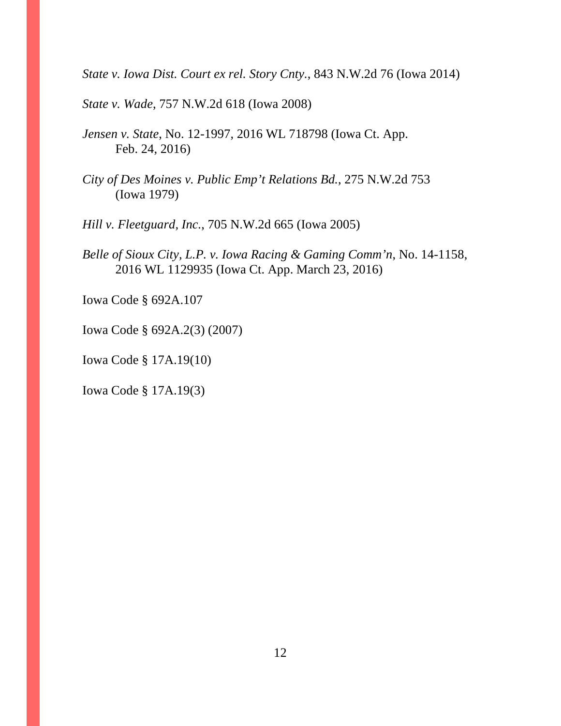*State v. Iowa Dist. Court ex rel. Story Cnty.*, 843 N.W.2d 76 (Iowa 2014)

*State v. Wade*, 757 N.W.2d 618 (Iowa 2008)

*Jensen v. State*, No. 12-1997, 2016 WL 718798 (Iowa Ct. App. Feb. 24, 2016)

*City of Des Moines v. Public Emp't Relations Bd.*, 275 N.W.2d 753 (Iowa 1979)

*Hill v. Fleetguard, Inc.*, 705 N.W.2d 665 (Iowa 2005)

*Belle of Sioux City, L.P. v. Iowa Racing & Gaming Comm'n*, No. 14-1158, 2016 WL 1129935 (Iowa Ct. App. March 23, 2016)

Iowa Code § 692A.107

Iowa Code § 692A.2(3) (2007)

Iowa Code § 17A.19(10)

Iowa Code § 17A.19(3)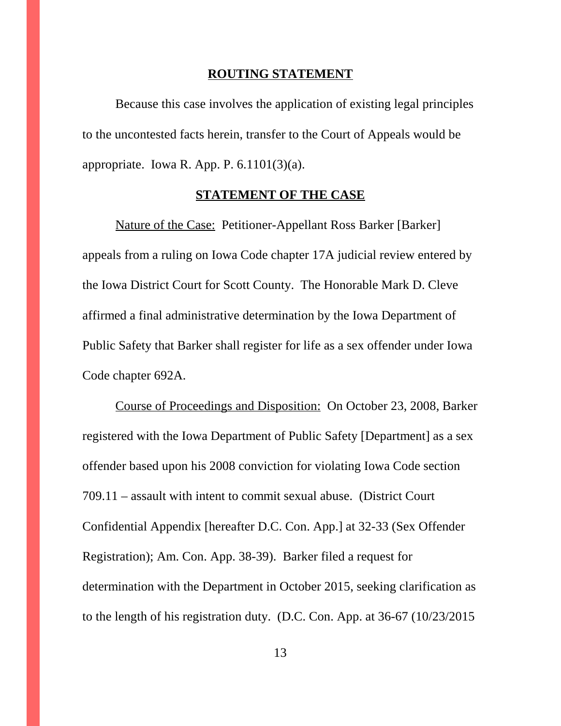#### **ROUTING STATEMENT**

Because this case involves the application of existing legal principles to the uncontested facts herein, transfer to the Court of Appeals would be appropriate. Iowa R. App. P.  $6.1101(3)(a)$ .

### **STATEMENT OF THE CASE**

Nature of the Case: Petitioner-Appellant Ross Barker [Barker] appeals from a ruling on Iowa Code chapter 17A judicial review entered by the Iowa District Court for Scott County. The Honorable Mark D. Cleve affirmed a final administrative determination by the Iowa Department of Public Safety that Barker shall register for life as a sex offender under Iowa Code chapter 692A.

Course of Proceedings and Disposition: On October 23, 2008, Barker registered with the Iowa Department of Public Safety [Department] as a sex offender based upon his 2008 conviction for violating Iowa Code section 709.11 – assault with intent to commit sexual abuse. (District Court Confidential Appendix [hereafter D.C. Con. App.] at 32-33 (Sex Offender Registration); Am. Con. App. 38-39). Barker filed a request for determination with the Department in October 2015, seeking clarification as to the length of his registration duty. (D.C. Con. App. at 36-67 (10/23/2015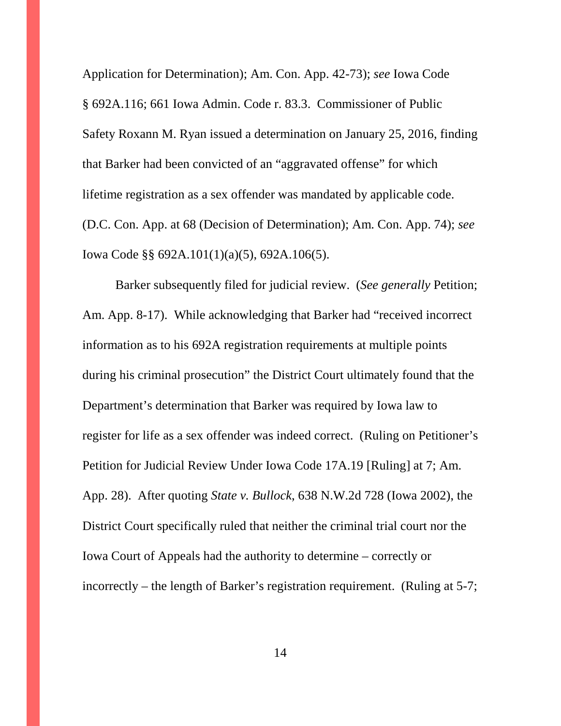Application for Determination); Am. Con. App. 42-73); *see* Iowa Code § 692A.116; 661 Iowa Admin. Code r. 83.3. Commissioner of Public Safety Roxann M. Ryan issued a determination on January 25, 2016, finding that Barker had been convicted of an "aggravated offense" for which lifetime registration as a sex offender was mandated by applicable code. (D.C. Con. App. at 68 (Decision of Determination); Am. Con. App. 74); *see* Iowa Code §§ 692A.101(1)(a)(5), 692A.106(5).

Barker subsequently filed for judicial review. (*See generally* Petition; Am. App. 8-17). While acknowledging that Barker had "received incorrect information as to his 692A registration requirements at multiple points during his criminal prosecution" the District Court ultimately found that the Department's determination that Barker was required by Iowa law to register for life as a sex offender was indeed correct. (Ruling on Petitioner's Petition for Judicial Review Under Iowa Code 17A.19 [Ruling] at 7; Am. App. 28). After quoting *State v. Bullock*, 638 N.W.2d 728 (Iowa 2002), the District Court specifically ruled that neither the criminal trial court nor the Iowa Court of Appeals had the authority to determine – correctly or incorrectly – the length of Barker's registration requirement. (Ruling at 5-7;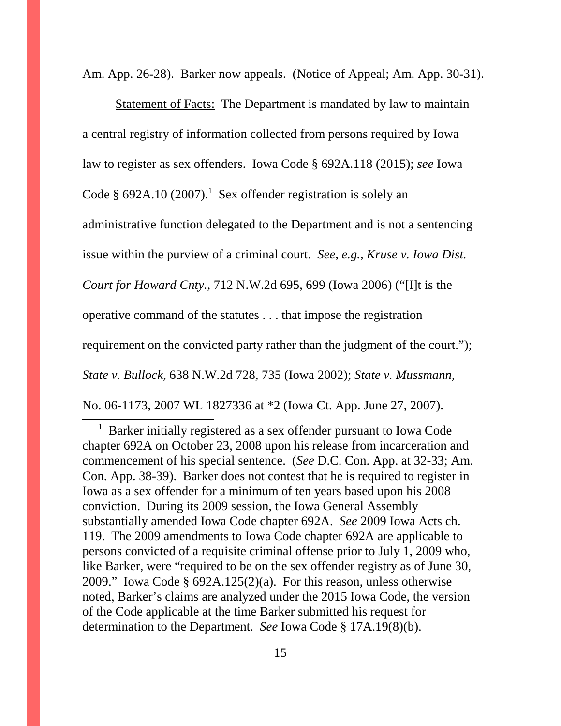Am. App. 26-28). Barker now appeals. (Notice of Appeal; Am. App. 30-31).

Statement of Facts: The Department is mandated by law to maintain a central registry of information collected from persons required by Iowa law to register as sex offenders. Iowa Code § 692A.118 (2015); *see* Iowa Code § 692A.10 (2007).<sup>1</sup> Sex offender registration is solely an administrative function delegated to the Department and is not a sentencing issue within the purview of a criminal court. *See, e.g., Kruse v. Iowa Dist. Court for Howard Cnty.*, 712 N.W.2d 695, 699 (Iowa 2006) ("[I]t is the operative command of the statutes . . . that impose the registration requirement on the convicted party rather than the judgment of the court."); *State v. Bullock*, 638 N.W.2d 728, 735 (Iowa 2002); *State v. Mussmann*, No. 06-1173, 2007 WL 1827336 at \*2 (Iowa Ct. App. June 27, 2007).

1 Barker initially registered as a sex offender pursuant to Iowa Code chapter 692A on October 23, 2008 upon his release from incarceration and commencement of his special sentence. (*See* D.C. Con. App. at 32-33; Am. Con. App. 38-39). Barker does not contest that he is required to register in Iowa as a sex offender for a minimum of ten years based upon his 2008 conviction. During its 2009 session, the Iowa General Assembly substantially amended Iowa Code chapter 692A. *See* 2009 Iowa Acts ch. 119. The 2009 amendments to Iowa Code chapter 692A are applicable to persons convicted of a requisite criminal offense prior to July 1, 2009 who, like Barker, were "required to be on the sex offender registry as of June 30, 2009." Iowa Code § 692A.125(2)(a). For this reason, unless otherwise noted, Barker's claims are analyzed under the 2015 Iowa Code, the version of the Code applicable at the time Barker submitted his request for determination to the Department. *See* Iowa Code § 17A.19(8)(b).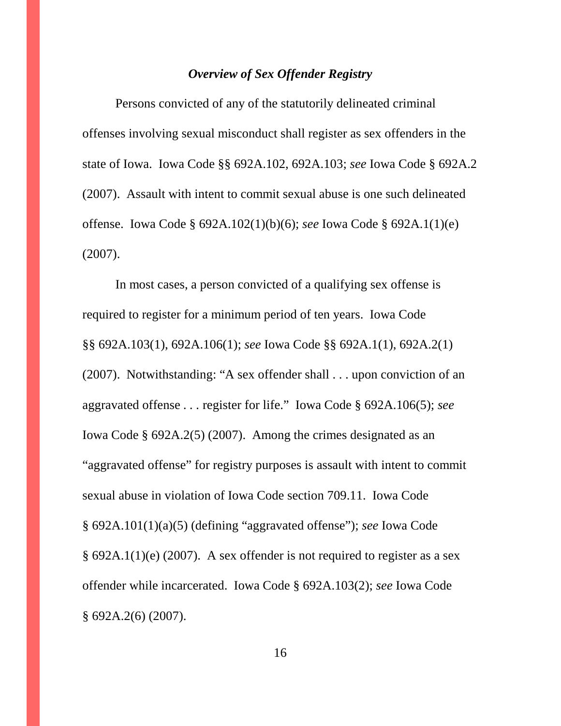### *Overview of Sex Offender Registry*

Persons convicted of any of the statutorily delineated criminal offenses involving sexual misconduct shall register as sex offenders in the state of Iowa. Iowa Code §§ 692A.102, 692A.103; *see* Iowa Code § 692A.2 (2007). Assault with intent to commit sexual abuse is one such delineated offense. Iowa Code § 692A.102(1)(b)(6); *see* Iowa Code § 692A.1(1)(e) (2007).

In most cases, a person convicted of a qualifying sex offense is required to register for a minimum period of ten years. Iowa Code §§ 692A.103(1), 692A.106(1); *see* Iowa Code §§ 692A.1(1), 692A.2(1) (2007). Notwithstanding: "A sex offender shall . . . upon conviction of an aggravated offense *. . .* register for life." Iowa Code § 692A.106(5); *see* Iowa Code § 692A.2(5) (2007). Among the crimes designated as an "aggravated offense" for registry purposes is assault with intent to commit sexual abuse in violation of Iowa Code section 709.11. Iowa Code § 692A.101(1)(a)(5) (defining "aggravated offense"); *see* Iowa Code § 692A.1(1)(e) (2007). A sex offender is not required to register as a sex offender while incarcerated. Iowa Code § 692A.103(2); *see* Iowa Code § 692A.2(6) (2007).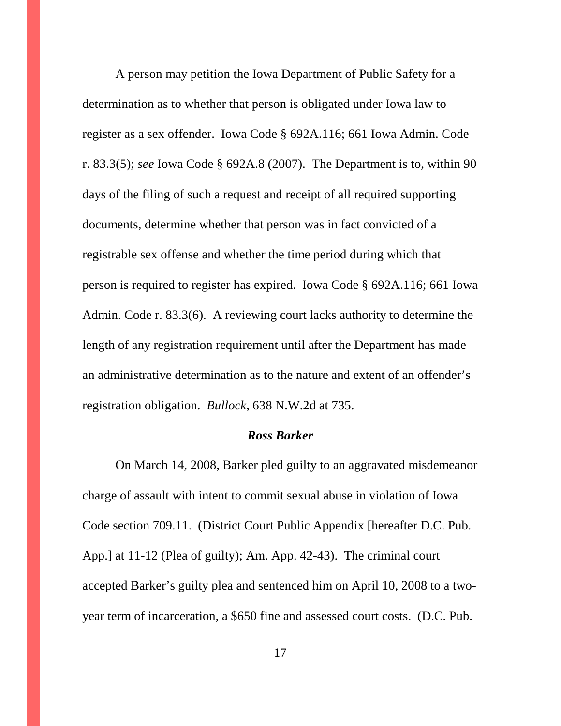A person may petition the Iowa Department of Public Safety for a determination as to whether that person is obligated under Iowa law to register as a sex offender. Iowa Code § 692A.116; 661 Iowa Admin. Code r. 83.3(5); *see* Iowa Code § 692A.8 (2007). The Department is to, within 90 days of the filing of such a request and receipt of all required supporting documents, determine whether that person was in fact convicted of a registrable sex offense and whether the time period during which that person is required to register has expired. Iowa Code § 692A.116; 661 Iowa Admin. Code r. 83.3(6). A reviewing court lacks authority to determine the length of any registration requirement until after the Department has made an administrative determination as to the nature and extent of an offender's registration obligation. *Bullock*, 638 N.W.2d at 735.

#### *Ross Barker*

On March 14, 2008, Barker pled guilty to an aggravated misdemeanor charge of assault with intent to commit sexual abuse in violation of Iowa Code section 709.11. (District Court Public Appendix [hereafter D.C. Pub. App.] at 11-12 (Plea of guilty); Am. App. 42-43). The criminal court accepted Barker's guilty plea and sentenced him on April 10, 2008 to a twoyear term of incarceration, a \$650 fine and assessed court costs. (D.C. Pub.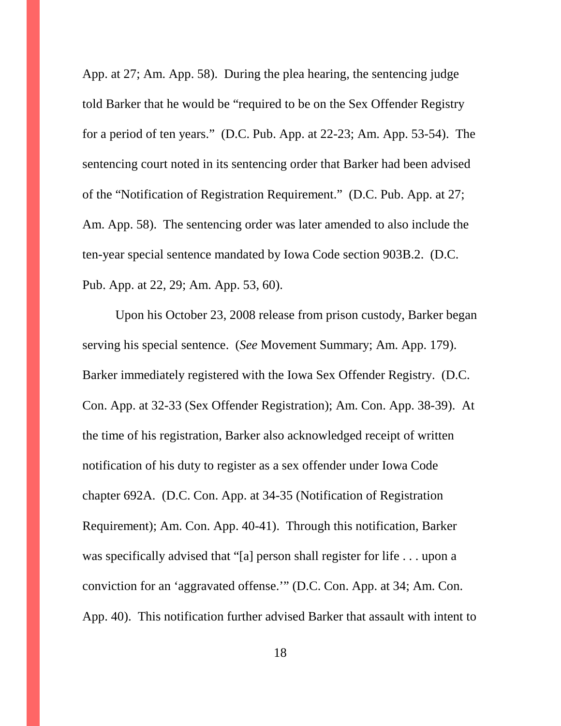App. at 27; Am. App. 58). During the plea hearing, the sentencing judge told Barker that he would be "required to be on the Sex Offender Registry for a period of ten years." (D.C. Pub. App. at 22-23; Am. App. 53-54). The sentencing court noted in its sentencing order that Barker had been advised of the "Notification of Registration Requirement." (D.C. Pub. App. at 27; Am. App. 58). The sentencing order was later amended to also include the ten-year special sentence mandated by Iowa Code section 903B.2. (D.C. Pub. App. at 22, 29; Am. App. 53, 60).

Upon his October 23, 2008 release from prison custody, Barker began serving his special sentence. (*See* Movement Summary; Am. App. 179). Barker immediately registered with the Iowa Sex Offender Registry. (D.C. Con. App. at 32-33 (Sex Offender Registration); Am. Con. App. 38-39). At the time of his registration, Barker also acknowledged receipt of written notification of his duty to register as a sex offender under Iowa Code chapter 692A. (D.C. Con. App. at 34-35 (Notification of Registration Requirement); Am. Con. App. 40-41). Through this notification, Barker was specifically advised that "[a] person shall register for life . . . upon a conviction for an 'aggravated offense.'" (D.C. Con. App. at 34; Am. Con. App. 40). This notification further advised Barker that assault with intent to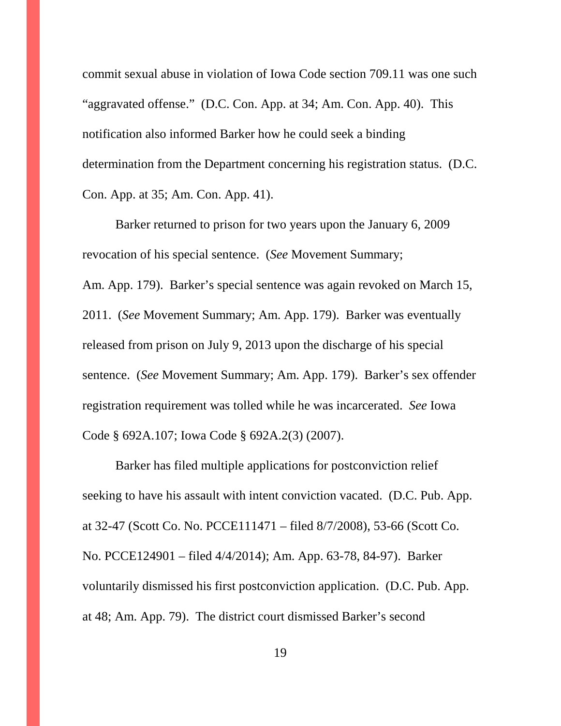commit sexual abuse in violation of Iowa Code section 709.11 was one such "aggravated offense." (D.C. Con. App. at 34; Am. Con. App. 40). This notification also informed Barker how he could seek a binding determination from the Department concerning his registration status. (D.C. Con. App. at 35; Am. Con. App. 41).

Barker returned to prison for two years upon the January 6, 2009 revocation of his special sentence. (*See* Movement Summary; Am. App. 179). Barker's special sentence was again revoked on March 15, 2011. (*See* Movement Summary; Am. App. 179). Barker was eventually released from prison on July 9, 2013 upon the discharge of his special sentence. (*See* Movement Summary; Am. App. 179). Barker's sex offender registration requirement was tolled while he was incarcerated. *See* Iowa Code § 692A.107; Iowa Code § 692A.2(3) (2007).

Barker has filed multiple applications for postconviction relief seeking to have his assault with intent conviction vacated. (D.C. Pub. App. at 32-47 (Scott Co. No. PCCE111471 – filed 8/7/2008), 53-66 (Scott Co. No. PCCE124901 – filed 4/4/2014); Am. App. 63-78, 84-97). Barker voluntarily dismissed his first postconviction application. (D.C. Pub. App. at 48; Am. App. 79). The district court dismissed Barker's second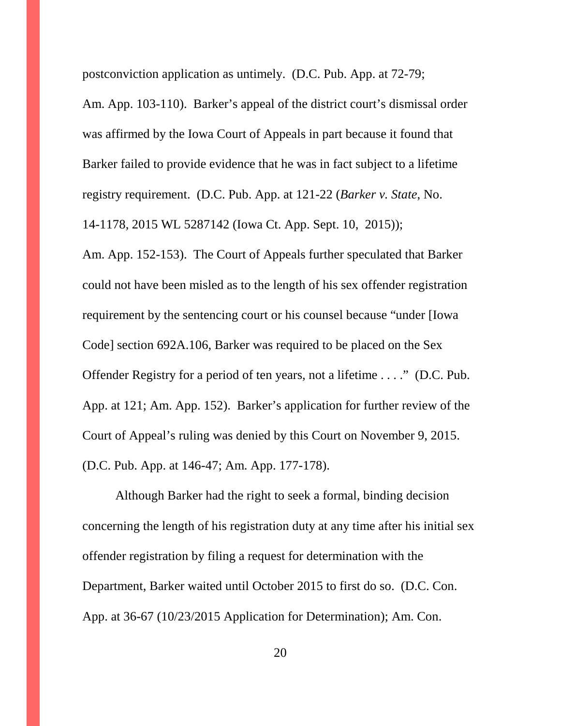postconviction application as untimely. (D.C. Pub. App. at 72-79;

14-1178, 2015 WL 5287142 (Iowa Ct. App. Sept. 10, 2015));

Am. App. 103-110). Barker's appeal of the district court's dismissal order was affirmed by the Iowa Court of Appeals in part because it found that Barker failed to provide evidence that he was in fact subject to a lifetime registry requirement. (D.C. Pub. App. at 121-22 (*Barker v. State*, No.

Am. App. 152-153). The Court of Appeals further speculated that Barker could not have been misled as to the length of his sex offender registration requirement by the sentencing court or his counsel because "under [Iowa Code] section 692A.106, Barker was required to be placed on the Sex Offender Registry for a period of ten years, not a lifetime . . . ." (D.C. Pub. App. at 121; Am. App. 152). Barker's application for further review of the Court of Appeal's ruling was denied by this Court on November 9, 2015. (D.C. Pub. App. at 146-47; Am. App. 177-178).

Although Barker had the right to seek a formal, binding decision concerning the length of his registration duty at any time after his initial sex offender registration by filing a request for determination with the Department, Barker waited until October 2015 to first do so. (D.C. Con. App. at 36-67 (10/23/2015 Application for Determination); Am. Con.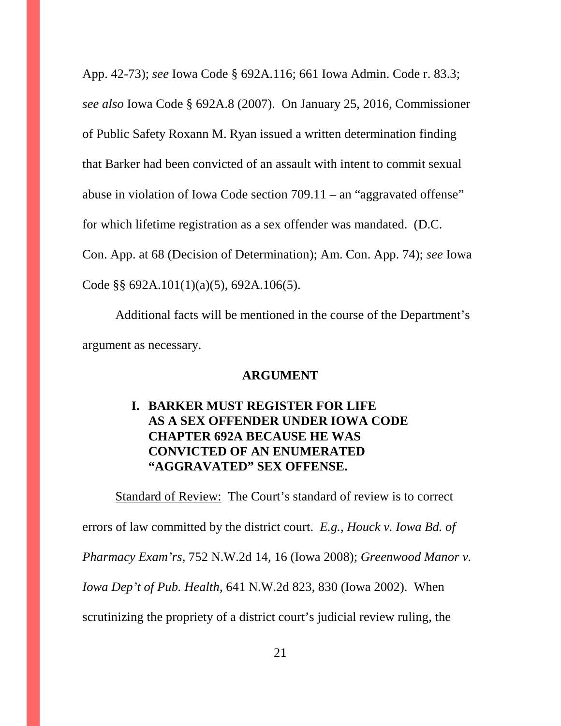App. 42-73); *see* Iowa Code § 692A.116; 661 Iowa Admin. Code r. 83.3; *see also* Iowa Code § 692A.8 (2007). On January 25, 2016, Commissioner of Public Safety Roxann M. Ryan issued a written determination finding that Barker had been convicted of an assault with intent to commit sexual abuse in violation of Iowa Code section 709.11 – an "aggravated offense" for which lifetime registration as a sex offender was mandated. (D.C. Con. App. at 68 (Decision of Determination); Am. Con. App. 74); *see* Iowa Code §§ 692A.101(1)(a)(5), 692A.106(5).

Additional facts will be mentioned in the course of the Department's argument as necessary.

#### **ARGUMENT**

## **I. BARKER MUST REGISTER FOR LIFE AS A SEX OFFENDER UNDER IOWA CODE CHAPTER 692A BECAUSE HE WAS CONVICTED OF AN ENUMERATED "AGGRAVATED" SEX OFFENSE.**

Standard of Review: The Court's standard of review is to correct errors of law committed by the district court. *E.g., Houck v. Iowa Bd. of Pharmacy Exam'rs*, 752 N.W.2d 14, 16 (Iowa 2008); *Greenwood Manor v. Iowa Dep't of Pub. Health*, 641 N.W.2d 823, 830 (Iowa 2002). When scrutinizing the propriety of a district court's judicial review ruling, the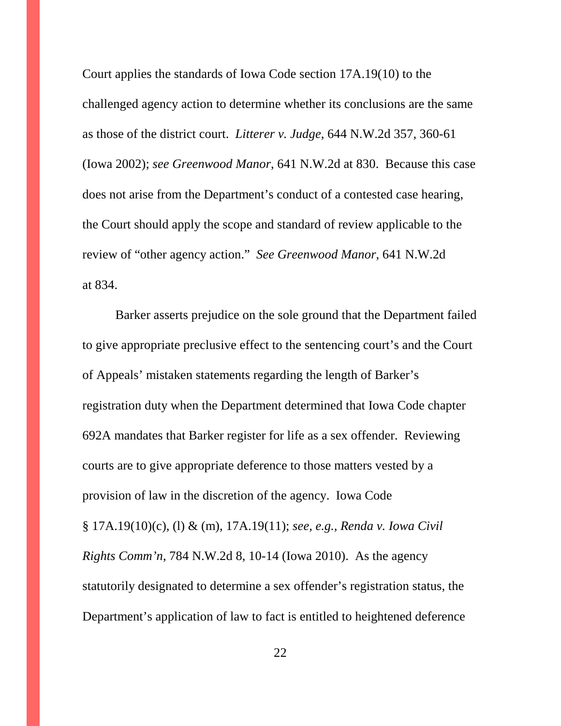Court applies the standards of Iowa Code section 17A.19(10) to the challenged agency action to determine whether its conclusions are the same as those of the district court. *Litterer v. Judge*, 644 N.W.2d 357, 360-61 (Iowa 2002); *see Greenwood Manor*, 641 N.W.2d at 830. Because this case does not arise from the Department's conduct of a contested case hearing, the Court should apply the scope and standard of review applicable to the review of "other agency action." *See Greenwood Manor*, 641 N.W.2d at 834.

Barker asserts prejudice on the sole ground that the Department failed to give appropriate preclusive effect to the sentencing court's and the Court of Appeals' mistaken statements regarding the length of Barker's registration duty when the Department determined that Iowa Code chapter 692A mandates that Barker register for life as a sex offender. Reviewing courts are to give appropriate deference to those matters vested by a provision of law in the discretion of the agency. Iowa Code § 17A.19(10)(c), (l) & (m), 17A.19(11); *see, e.g., Renda v. Iowa Civil Rights Comm'n*, 784 N.W.2d 8, 10-14 (Iowa 2010). As the agency statutorily designated to determine a sex offender's registration status, the Department's application of law to fact is entitled to heightened deference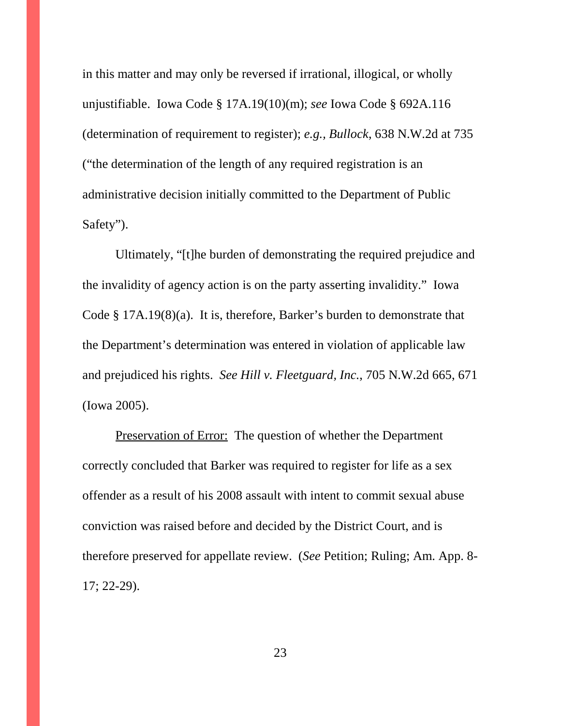in this matter and may only be reversed if irrational, illogical, or wholly unjustifiable. Iowa Code § 17A.19(10)(m); *see* Iowa Code § 692A.116 (determination of requirement to register); *e.g., Bullock*, 638 N.W.2d at 735 ("the determination of the length of any required registration is an administrative decision initially committed to the Department of Public Safety").

Ultimately, "[t]he burden of demonstrating the required prejudice and the invalidity of agency action is on the party asserting invalidity." Iowa Code § 17A.19(8)(a). It is, therefore, Barker's burden to demonstrate that the Department's determination was entered in violation of applicable law and prejudiced his rights. *See Hill v. Fleetguard, Inc.*, 705 N.W.2d 665, 671 (Iowa 2005).

Preservation of Error: The question of whether the Department correctly concluded that Barker was required to register for life as a sex offender as a result of his 2008 assault with intent to commit sexual abuse conviction was raised before and decided by the District Court, and is therefore preserved for appellate review. (*See* Petition; Ruling; Am. App. 8- 17; 22-29).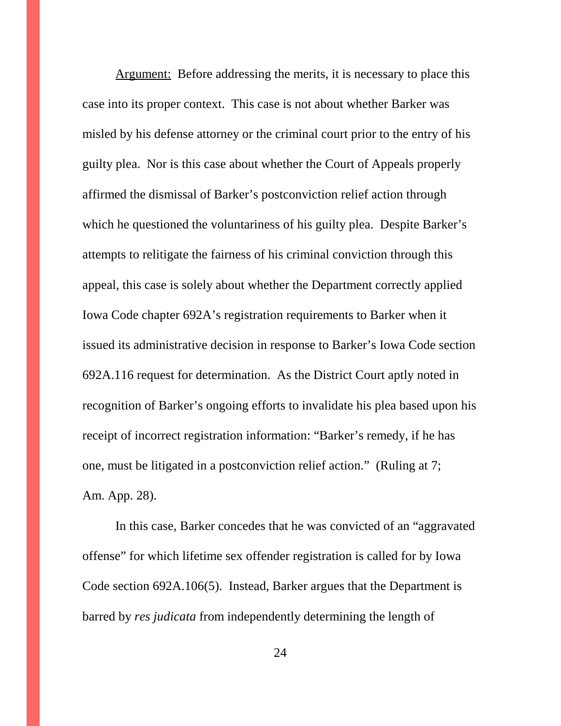Argument: Before addressing the merits, it is necessary to place this case into its proper context. This case is not about whether Barker was misled by his defense attorney or the criminal court prior to the entry of his guilty plea. Nor is this case about whether the Court of Appeals properly affirmed the dismissal of Barker's postconviction relief action through which he questioned the voluntariness of his guilty plea. Despite Barker's attempts to relitigate the fairness of his criminal conviction through this appeal, this case is solely about whether the Department correctly applied Iowa Code chapter 692A's registration requirements to Barker when it issued its administrative decision in response to Barker's Iowa Code section 692A.116 request for determination. As the District Court aptly noted in recognition of Barker's ongoing efforts to invalidate his plea based upon his receipt of incorrect registration information: "Barker's remedy, if he has one, must be litigated in a postconviction relief action." (Ruling at 7; Am. App. 28).

In this case, Barker concedes that he was convicted of an "aggravated offense" for which lifetime sex offender registration is called for by Iowa Code section 692A.106(5). Instead, Barker argues that the Department is barred by *res judicata* from independently determining the length of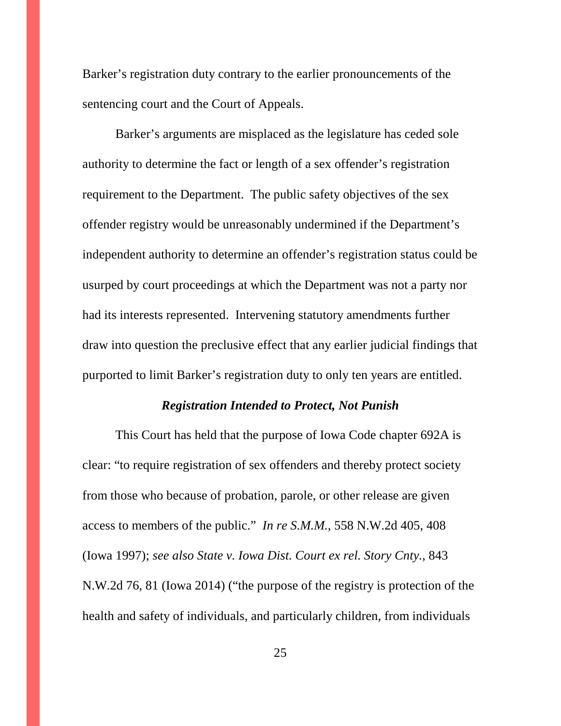Barker's registration duty contrary to the earlier pronouncements of the sentencing court and the Court of Appeals.

Barker's arguments are misplaced as the legislature has ceded sole authority to determine the fact or length of a sex offender's registration requirement to the Department. The public safety objectives of the sex offender registry would be unreasonably undermined if the Department's independent authority to determine an offender's registration status could be usurped by court proceedings at which the Department was not a party nor had its interests represented. Intervening statutory amendments further draw into question the preclusive effect that any earlier judicial findings that purported to limit Barker's registration duty to only ten years are entitled.

#### *Registration Intended to Protect, Not Punish*

This Court has held that the purpose of Iowa Code chapter 692A is clear: "to require registration of sex offenders and thereby protect society from those who because of probation, parole, or other release are given access to members of the public." *In re S.M.M.*, 558 N.W.2d 405, 408 (Iowa 1997); *see also State v. Iowa Dist. Court ex rel. Story Cnty.*, 843 N.W.2d 76, 81 (Iowa 2014) ("the purpose of the registry is protection of the health and safety of individuals, and particularly children, from individuals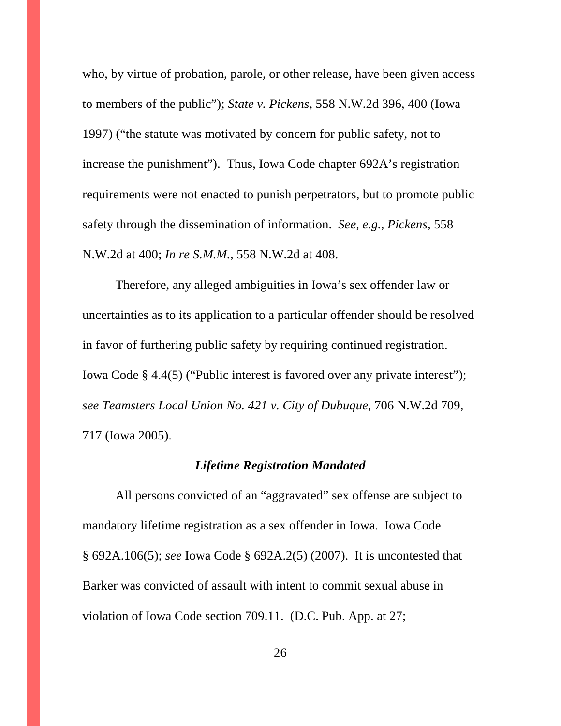who, by virtue of probation, parole, or other release, have been given access to members of the public"); *State v. Pickens*, 558 N.W.2d 396, 400 (Iowa 1997) ("the statute was motivated by concern for public safety, not to increase the punishment"). Thus, Iowa Code chapter 692A's registration requirements were not enacted to punish perpetrators, but to promote public safety through the dissemination of information. *See, e.g., Pickens*, 558 N.W.2d at 400; *In re S.M.M.*, 558 N.W.2d at 408.

Therefore, any alleged ambiguities in Iowa's sex offender law or uncertainties as to its application to a particular offender should be resolved in favor of furthering public safety by requiring continued registration. Iowa Code § 4.4(5) ("Public interest is favored over any private interest"); *see Teamsters Local Union No. 421 v. City of Dubuque*, 706 N.W.2d 709, 717 (Iowa 2005).

#### *Lifetime Registration Mandated*

All persons convicted of an "aggravated" sex offense are subject to mandatory lifetime registration as a sex offender in Iowa. Iowa Code § 692A.106(5); *see* Iowa Code § 692A.2(5) (2007). It is uncontested that Barker was convicted of assault with intent to commit sexual abuse in violation of Iowa Code section 709.11. (D.C. Pub. App. at 27;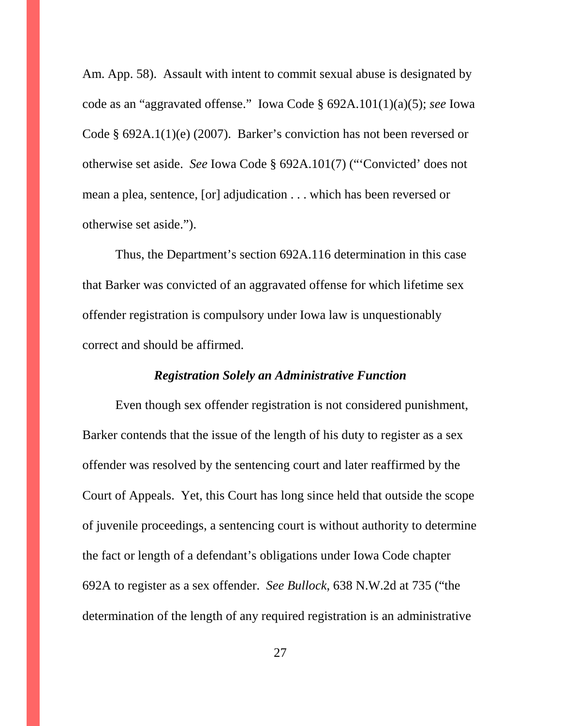Am. App. 58). Assault with intent to commit sexual abuse is designated by code as an "aggravated offense." Iowa Code § 692A.101(1)(a)(5); *see* Iowa Code § 692A.1(1)(e) (2007). Barker's conviction has not been reversed or otherwise set aside. *See* Iowa Code § 692A.101(7) ("'Convicted' does not mean a plea, sentence, [or] adjudication . . . which has been reversed or otherwise set aside.").

Thus, the Department's section 692A.116 determination in this case that Barker was convicted of an aggravated offense for which lifetime sex offender registration is compulsory under Iowa law is unquestionably correct and should be affirmed.

## *Registration Solely an Administrative Function*

Even though sex offender registration is not considered punishment, Barker contends that the issue of the length of his duty to register as a sex offender was resolved by the sentencing court and later reaffirmed by the Court of Appeals. Yet, this Court has long since held that outside the scope of juvenile proceedings, a sentencing court is without authority to determine the fact or length of a defendant's obligations under Iowa Code chapter 692A to register as a sex offender. *See Bullock*, 638 N.W.2d at 735 ("the determination of the length of any required registration is an administrative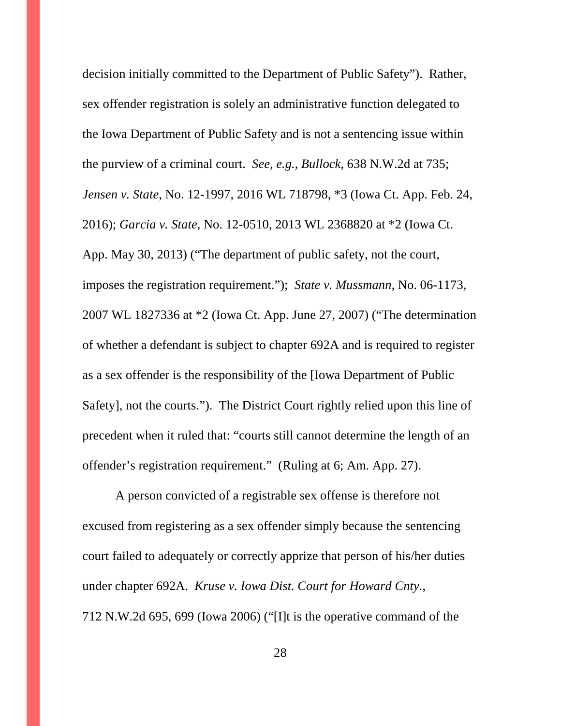decision initially committed to the Department of Public Safety"). Rather, sex offender registration is solely an administrative function delegated to the Iowa Department of Public Safety and is not a sentencing issue within the purview of a criminal court. *See, e.g., Bullock*, 638 N.W.2d at 735; *Jensen v. State*, No. 12-1997, 2016 WL 718798, \*3 (Iowa Ct. App. Feb. 24, 2016); *Garcia v. State*, No. 12-0510, 2013 WL 2368820 at \*2 (Iowa Ct. App. May 30, 2013) ("The department of public safety, not the court, imposes the registration requirement."); *State v. Mussmann*, No. 06-1173, 2007 WL 1827336 at \*2 (Iowa Ct. App. June 27, 2007) ("The determination of whether a defendant is subject to chapter 692A and is required to register as a sex offender is the responsibility of the [Iowa Department of Public Safety], not the courts."). The District Court rightly relied upon this line of precedent when it ruled that: "courts still cannot determine the length of an offender's registration requirement." (Ruling at 6; Am. App. 27).

A person convicted of a registrable sex offense is therefore not excused from registering as a sex offender simply because the sentencing court failed to adequately or correctly apprize that person of his/her duties under chapter 692A. *Kruse v. Iowa Dist. Court for Howard Cnty.*, 712 N.W.2d 695, 699 (Iowa 2006) ("[I]t is the operative command of the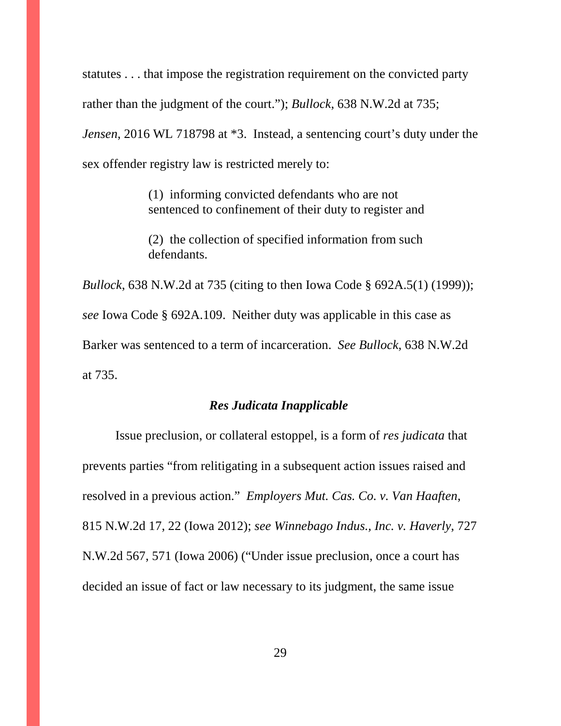statutes . . . that impose the registration requirement on the convicted party rather than the judgment of the court."); *Bullock*, 638 N.W.2d at 735;

*Jensen*, 2016 WL 718798 at \*3. Instead, a sentencing court's duty under the sex offender registry law is restricted merely to:

> (1) informing convicted defendants who are not sentenced to confinement of their duty to register and

> (2) the collection of specified information from such defendants.

*Bullock*, 638 N.W.2d at 735 (citing to then Iowa Code § 692A.5(1) (1999)); *see* Iowa Code § 692A.109. Neither duty was applicable in this case as Barker was sentenced to a term of incarceration. *See Bullock*, 638 N.W.2d at 735.

## *Res Judicata Inapplicable*

Issue preclusion, or collateral estoppel, is a form of *res judicata* that prevents parties "from relitigating in a subsequent action issues raised and resolved in a previous action." *Employers Mut. Cas. Co. v. Van Haaften*, 815 N.W.2d 17, 22 (Iowa 2012); *see Winnebago Indus., Inc. v. Haverly*, 727 N.W.2d 567, 571 (Iowa 2006) ("Under issue preclusion, once a court has decided an issue of fact or law necessary to its judgment, the same issue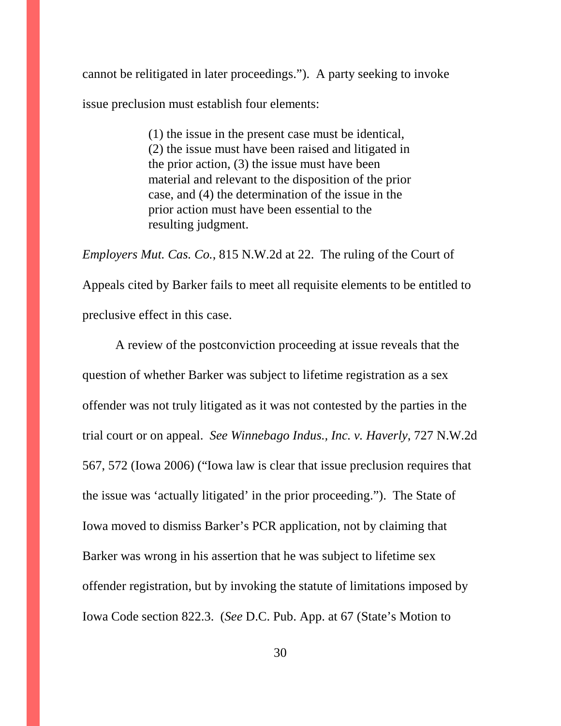cannot be relitigated in later proceedings."). A party seeking to invoke issue preclusion must establish four elements:

> (1) the issue in the present case must be identical, (2) the issue must have been raised and litigated in the prior action, (3) the issue must have been material and relevant to the disposition of the prior case, and (4) the determination of the issue in the prior action must have been essential to the resulting judgment.

*Employers Mut. Cas. Co.*, 815 N.W.2d at 22. The ruling of the Court of Appeals cited by Barker fails to meet all requisite elements to be entitled to preclusive effect in this case.

A review of the postconviction proceeding at issue reveals that the question of whether Barker was subject to lifetime registration as a sex offender was not truly litigated as it was not contested by the parties in the trial court or on appeal. *See Winnebago Indus., Inc. v. Haverly*, 727 N.W.2d 567, 572 (Iowa 2006) ("Iowa law is clear that issue preclusion requires that the issue was 'actually litigated' in the prior proceeding."). The State of Iowa moved to dismiss Barker's PCR application, not by claiming that Barker was wrong in his assertion that he was subject to lifetime sex offender registration, but by invoking the statute of limitations imposed by Iowa Code section 822.3. (*See* D.C. Pub. App. at 67 (State's Motion to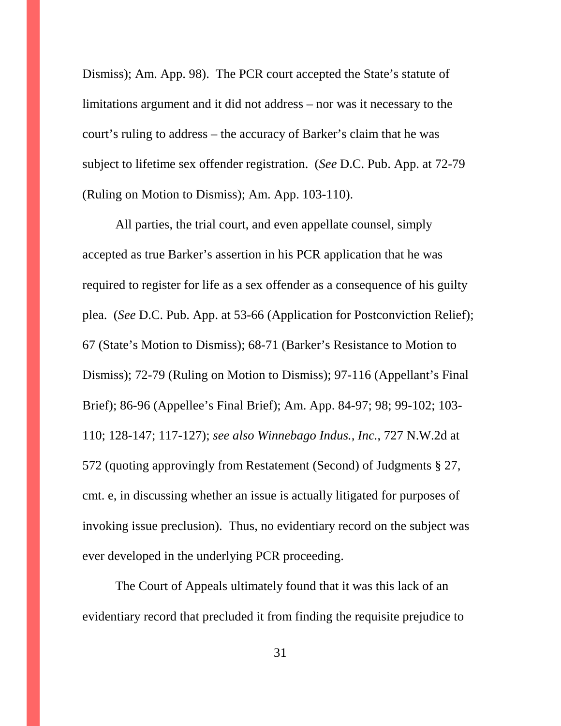Dismiss); Am. App. 98). The PCR court accepted the State's statute of limitations argument and it did not address – nor was it necessary to the court's ruling to address – the accuracy of Barker's claim that he was subject to lifetime sex offender registration. (*See* D.C. Pub. App. at 72-79 (Ruling on Motion to Dismiss); Am. App. 103-110).

All parties, the trial court, and even appellate counsel, simply accepted as true Barker's assertion in his PCR application that he was required to register for life as a sex offender as a consequence of his guilty plea. (*See* D.C. Pub. App. at 53-66 (Application for Postconviction Relief); 67 (State's Motion to Dismiss); 68-71 (Barker's Resistance to Motion to Dismiss); 72-79 (Ruling on Motion to Dismiss); 97-116 (Appellant's Final Brief); 86-96 (Appellee's Final Brief); Am. App. 84-97; 98; 99-102; 103- 110; 128-147; 117-127); *see also Winnebago Indus., Inc.*, 727 N.W.2d at 572 (quoting approvingly from Restatement (Second) of Judgments § 27, cmt. e, in discussing whether an issue is actually litigated for purposes of invoking issue preclusion). Thus, no evidentiary record on the subject was ever developed in the underlying PCR proceeding.

The Court of Appeals ultimately found that it was this lack of an evidentiary record that precluded it from finding the requisite prejudice to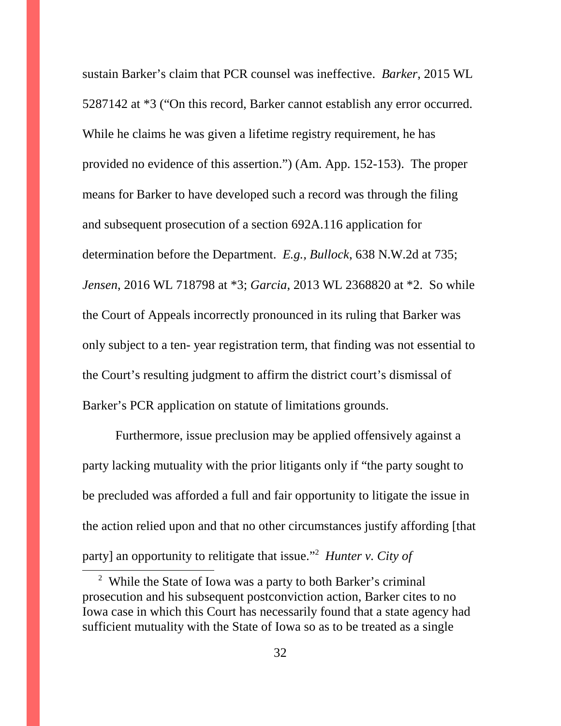sustain Barker's claim that PCR counsel was ineffective. *Barker*, 2015 WL 5287142 at \*3 ("On this record, Barker cannot establish any error occurred. While he claims he was given a lifetime registry requirement, he has provided no evidence of this assertion.") (Am. App. 152-153). The proper means for Barker to have developed such a record was through the filing and subsequent prosecution of a section 692A.116 application for determination before the Department. *E.g., Bullock*, 638 N.W.2d at 735; *Jensen*, 2016 WL 718798 at \*3; *Garcia*, 2013 WL 2368820 at \*2. So while the Court of Appeals incorrectly pronounced in its ruling that Barker was only subject to a ten- year registration term, that finding was not essential to the Court's resulting judgment to affirm the district court's dismissal of Barker's PCR application on statute of limitations grounds.

Furthermore, issue preclusion may be applied offensively against a party lacking mutuality with the prior litigants only if "the party sought to be precluded was afforded a full and fair opportunity to litigate the issue in the action relied upon and that no other circumstances justify affording [that party] an opportunity to relitigate that issue."<sup>2</sup> *Hunter v. City of*

<sup>&</sup>lt;sup>2</sup> While the State of Iowa was a party to both Barker's criminal prosecution and his subsequent postconviction action, Barker cites to no Iowa case in which this Court has necessarily found that a state agency had sufficient mutuality with the State of Iowa so as to be treated as a single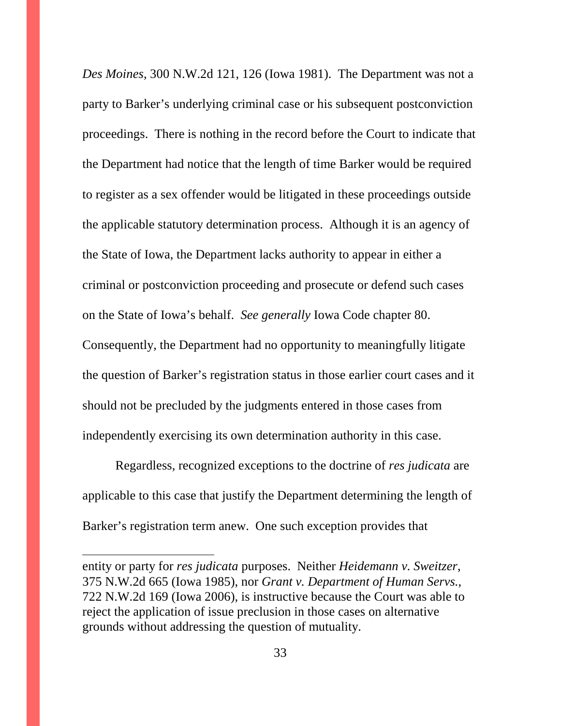*Des Moines*, 300 N.W.2d 121, 126 (Iowa 1981). The Department was not a party to Barker's underlying criminal case or his subsequent postconviction proceedings. There is nothing in the record before the Court to indicate that the Department had notice that the length of time Barker would be required to register as a sex offender would be litigated in these proceedings outside the applicable statutory determination process. Although it is an agency of the State of Iowa, the Department lacks authority to appear in either a criminal or postconviction proceeding and prosecute or defend such cases on the State of Iowa's behalf. *See generally* Iowa Code chapter 80. Consequently, the Department had no opportunity to meaningfully litigate the question of Barker's registration status in those earlier court cases and it should not be precluded by the judgments entered in those cases from independently exercising its own determination authority in this case.

Regardless, recognized exceptions to the doctrine of *res judicata* are applicable to this case that justify the Department determining the length of Barker's registration term anew. One such exception provides that

entity or party for *res judicata* purposes. Neither *Heidemann v. Sweitzer*, 375 N.W.2d 665 (Iowa 1985), nor *Grant v. Department of Human Servs.*, 722 N.W.2d 169 (Iowa 2006), is instructive because the Court was able to reject the application of issue preclusion in those cases on alternative grounds without addressing the question of mutuality.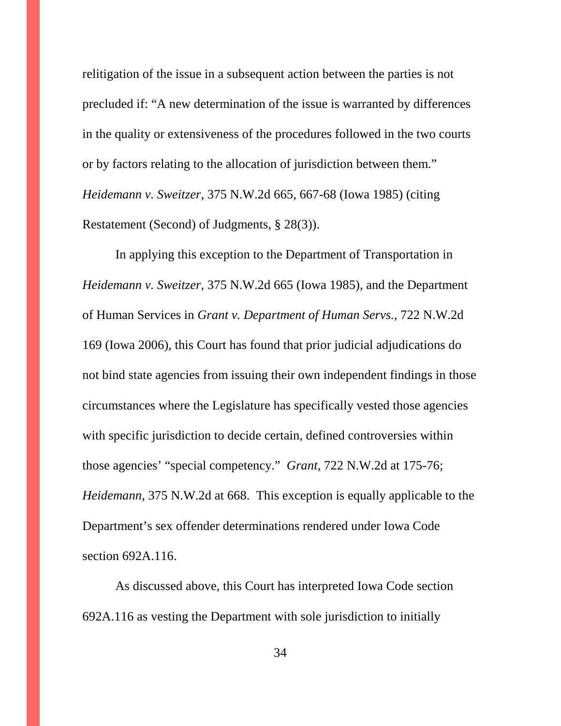relitigation of the issue in a subsequent action between the parties is not precluded if: "A new determination of the issue is warranted by differences in the quality or extensiveness of the procedures followed in the two courts or by factors relating to the allocation of jurisdiction between them." *Heidemann v. Sweitzer*, 375 N.W.2d 665, 667-68 (Iowa 1985) (citing Restatement (Second) of Judgments, § 28(3)).

In applying this exception to the Department of Transportation in *Heidemann v. Sweitzer*, 375 N.W.2d 665 (Iowa 1985), and the Department of Human Services in *Grant v. Department of Human Servs.*, 722 N.W.2d 169 (Iowa 2006), this Court has found that prior judicial adjudications do not bind state agencies from issuing their own independent findings in those circumstances where the Legislature has specifically vested those agencies with specific jurisdiction to decide certain, defined controversies within those agencies' "special competency." *Grant*, 722 N.W.2d at 175-76; *Heidemann,* 375 N.W.2d at 668. This exception is equally applicable to the Department's sex offender determinations rendered under Iowa Code section 692A.116.

As discussed above, this Court has interpreted Iowa Code section 692A.116 as vesting the Department with sole jurisdiction to initially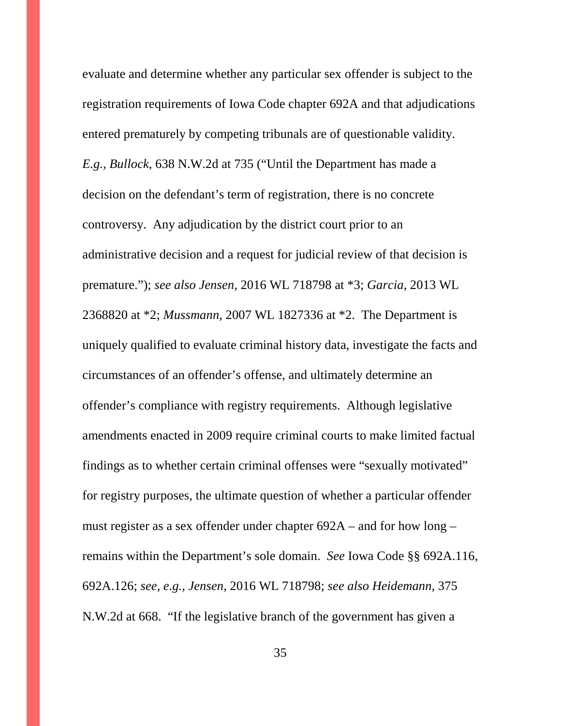evaluate and determine whether any particular sex offender is subject to the registration requirements of Iowa Code chapter 692A and that adjudications entered prematurely by competing tribunals are of questionable validity. *E.g., Bullock*, 638 N.W.2d at 735 ("Until the Department has made a decision on the defendant's term of registration, there is no concrete controversy. Any adjudication by the district court prior to an administrative decision and a request for judicial review of that decision is premature."); *see also Jensen*, 2016 WL 718798 at \*3; *Garcia*, 2013 WL 2368820 at \*2; *Mussmann*, 2007 WL 1827336 at \*2. The Department is uniquely qualified to evaluate criminal history data, investigate the facts and circumstances of an offender's offense, and ultimately determine an offender's compliance with registry requirements. Although legislative amendments enacted in 2009 require criminal courts to make limited factual findings as to whether certain criminal offenses were "sexually motivated" for registry purposes, the ultimate question of whether a particular offender must register as a sex offender under chapter 692A – and for how long – remains within the Department's sole domain. *See* Iowa Code §§ 692A.116, 692A.126; *see, e.g., Jensen*, 2016 WL 718798; *see also Heidemann,* 375 N.W.2d at 668. "If the legislative branch of the government has given a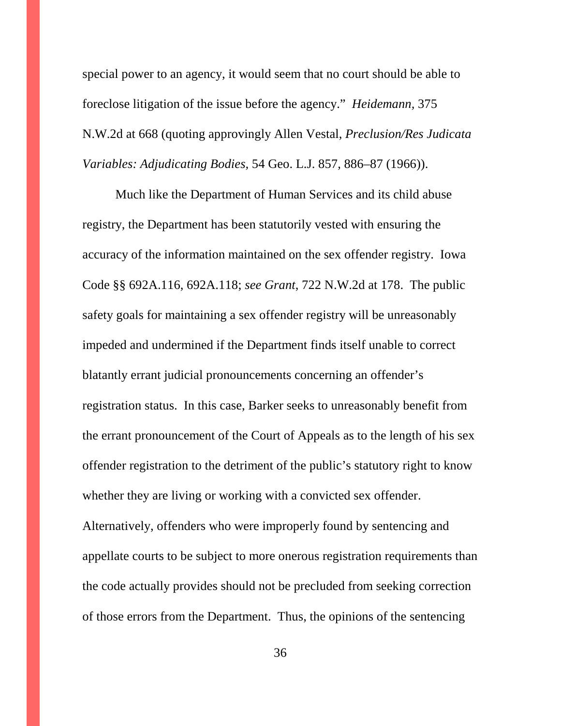special power to an agency, it would seem that no court should be able to foreclose litigation of the issue before the agency." *Heidemann,* 375 N.W.2d at 668 (quoting approvingly Allen Vestal, *Preclusion/Res Judicata Variables: Adjudicating Bodies,* 54 Geo. L.J. 857, 886–87 (1966)).

Much like the Department of Human Services and its child abuse registry, the Department has been statutorily vested with ensuring the accuracy of the information maintained on the sex offender registry. Iowa Code §§ 692A.116, 692A.118; *see Grant*, 722 N.W.2d at 178. The public safety goals for maintaining a sex offender registry will be unreasonably impeded and undermined if the Department finds itself unable to correct blatantly errant judicial pronouncements concerning an offender's registration status. In this case, Barker seeks to unreasonably benefit from the errant pronouncement of the Court of Appeals as to the length of his sex offender registration to the detriment of the public's statutory right to know whether they are living or working with a convicted sex offender. Alternatively, offenders who were improperly found by sentencing and appellate courts to be subject to more onerous registration requirements than the code actually provides should not be precluded from seeking correction of those errors from the Department. Thus, the opinions of the sentencing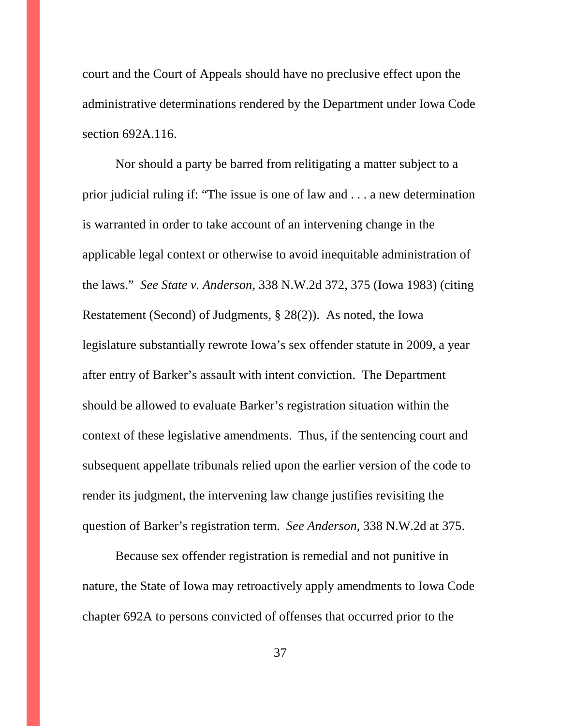court and the Court of Appeals should have no preclusive effect upon the administrative determinations rendered by the Department under Iowa Code section 692A.116.

Nor should a party be barred from relitigating a matter subject to a prior judicial ruling if: "The issue is one of law and . . . a new determination is warranted in order to take account of an intervening change in the applicable legal context or otherwise to avoid inequitable administration of the laws." *See State v. Anderson*, 338 N.W.2d 372, 375 (Iowa 1983) (citing Restatement (Second) of Judgments, § 28(2)). As noted, the Iowa legislature substantially rewrote Iowa's sex offender statute in 2009, a year after entry of Barker's assault with intent conviction. The Department should be allowed to evaluate Barker's registration situation within the context of these legislative amendments. Thus, if the sentencing court and subsequent appellate tribunals relied upon the earlier version of the code to render its judgment, the intervening law change justifies revisiting the question of Barker's registration term. *See Anderson*, 338 N.W.2d at 375.

Because sex offender registration is remedial and not punitive in nature, the State of Iowa may retroactively apply amendments to Iowa Code chapter 692A to persons convicted of offenses that occurred prior to the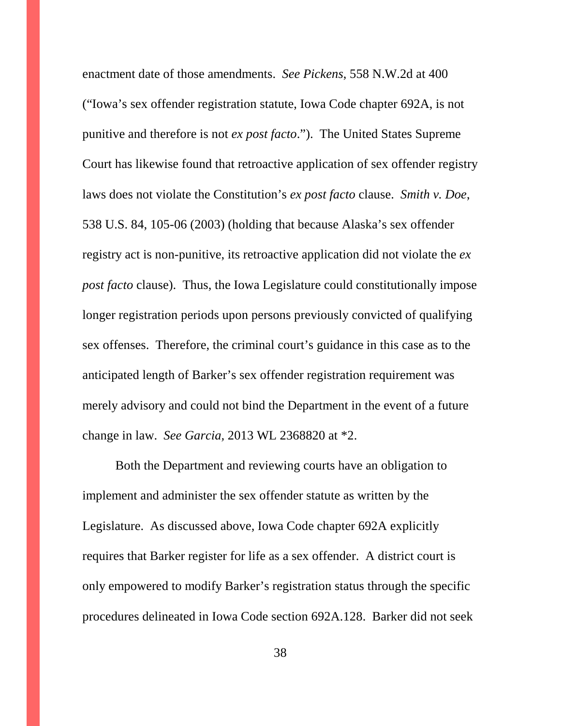enactment date of those amendments. *See Pickens*, 558 N.W.2d at 400 ("Iowa's sex offender registration statute, Iowa Code chapter 692A, is not punitive and therefore is not *ex post facto*."). The United States Supreme Court has likewise found that retroactive application of sex offender registry laws does not violate the Constitution's *ex post facto* clause. *Smith v. Doe*, 538 U.S. 84, 105-06 (2003) (holding that because Alaska's sex offender registry act is non-punitive, its retroactive application did not violate the *ex post facto* clause). Thus, the Iowa Legislature could constitutionally impose longer registration periods upon persons previously convicted of qualifying sex offenses. Therefore, the criminal court's guidance in this case as to the anticipated length of Barker's sex offender registration requirement was merely advisory and could not bind the Department in the event of a future change in law. *See Garcia,* 2013 WL 2368820 at \*2.

Both the Department and reviewing courts have an obligation to implement and administer the sex offender statute as written by the Legislature. As discussed above, Iowa Code chapter 692A explicitly requires that Barker register for life as a sex offender. A district court is only empowered to modify Barker's registration status through the specific procedures delineated in Iowa Code section 692A.128. Barker did not seek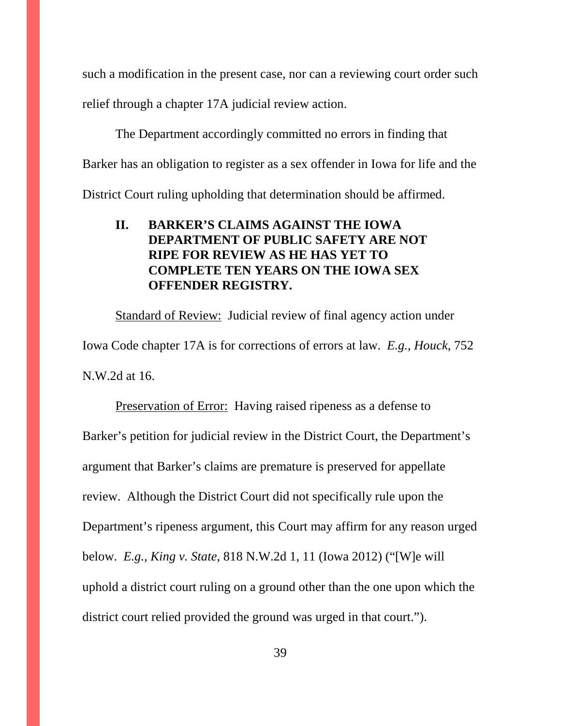such a modification in the present case, nor can a reviewing court order such relief through a chapter 17A judicial review action.

The Department accordingly committed no errors in finding that Barker has an obligation to register as a sex offender in Iowa for life and the District Court ruling upholding that determination should be affirmed.

## **II. BARKER'S CLAIMS AGAINST THE IOWA DEPARTMENT OF PUBLIC SAFETY ARE NOT RIPE FOR REVIEW AS HE HAS YET TO COMPLETE TEN YEARS ON THE IOWA SEX OFFENDER REGISTRY.**

Standard of Review: Judicial review of final agency action under Iowa Code chapter 17A is for corrections of errors at law. *E.g., Houck*, 752 N.W.2d at 16.

Preservation of Error: Having raised ripeness as a defense to Barker's petition for judicial review in the District Court, the Department's argument that Barker's claims are premature is preserved for appellate review. Although the District Court did not specifically rule upon the Department's ripeness argument, this Court may affirm for any reason urged below. *E.g., King v. State*, 818 N.W.2d 1, 11 (Iowa 2012) ("[W]e will uphold a district court ruling on a ground other than the one upon which the district court relied provided the ground was urged in that court.").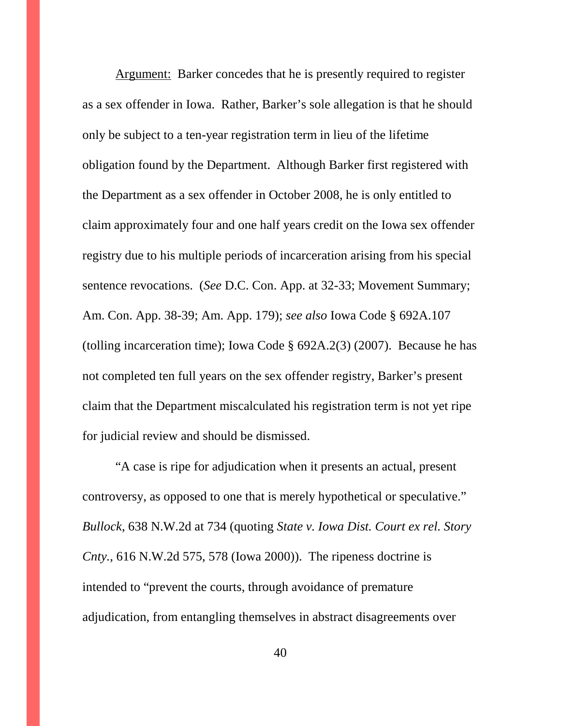Argument:Barker concedes that he is presently required to register as a sex offender in Iowa. Rather, Barker's sole allegation is that he should only be subject to a ten-year registration term in lieu of the lifetime obligation found by the Department. Although Barker first registered with the Department as a sex offender in October 2008, he is only entitled to claim approximately four and one half years credit on the Iowa sex offender registry due to his multiple periods of incarceration arising from his special sentence revocations. (*See* D.C. Con. App. at 32-33; Movement Summary; Am. Con. App. 38-39; Am. App. 179); *see also* Iowa Code § 692A.107 (tolling incarceration time); Iowa Code § 692A.2(3) (2007). Because he has not completed ten full years on the sex offender registry, Barker's present claim that the Department miscalculated his registration term is not yet ripe for judicial review and should be dismissed.

"A case is ripe for adjudication when it presents an actual, present controversy, as opposed to one that is merely hypothetical or speculative." *Bullock*, 638 N.W.2d at 734 (quoting *State v. Iowa Dist. Court ex rel. Story Cnty.,* 616 N.W.2d 575, 578 (Iowa 2000)). The ripeness doctrine is intended to "prevent the courts, through avoidance of premature adjudication, from entangling themselves in abstract disagreements over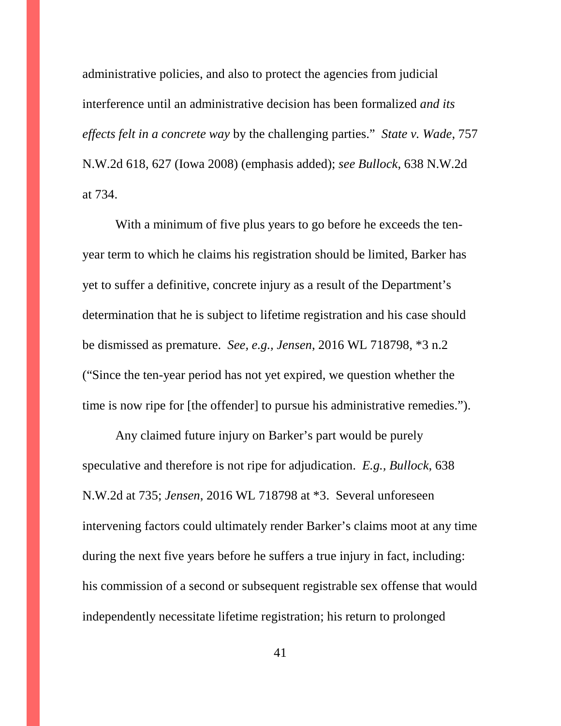administrative policies, and also to protect the agencies from judicial interference until an administrative decision has been formalized *and its effects felt in a concrete way* by the challenging parties." *State v. Wade*, 757 N.W.2d 618, 627 (Iowa 2008) (emphasis added); *see Bullock*, 638 N.W.2d at 734.

With a minimum of five plus years to go before he exceeds the tenyear term to which he claims his registration should be limited, Barker has yet to suffer a definitive, concrete injury as a result of the Department's determination that he is subject to lifetime registration and his case should be dismissed as premature. *See, e.g., Jensen*, 2016 WL 718798, \*3 n.2 ("Since the ten-year period has not yet expired, we question whether the time is now ripe for [the offender] to pursue his administrative remedies.").

Any claimed future injury on Barker's part would be purely speculative and therefore is not ripe for adjudication. *E.g., Bullock*, 638 N.W.2d at 735; *Jensen*, 2016 WL 718798 at \*3. Several unforeseen intervening factors could ultimately render Barker's claims moot at any time during the next five years before he suffers a true injury in fact, including: his commission of a second or subsequent registrable sex offense that would independently necessitate lifetime registration; his return to prolonged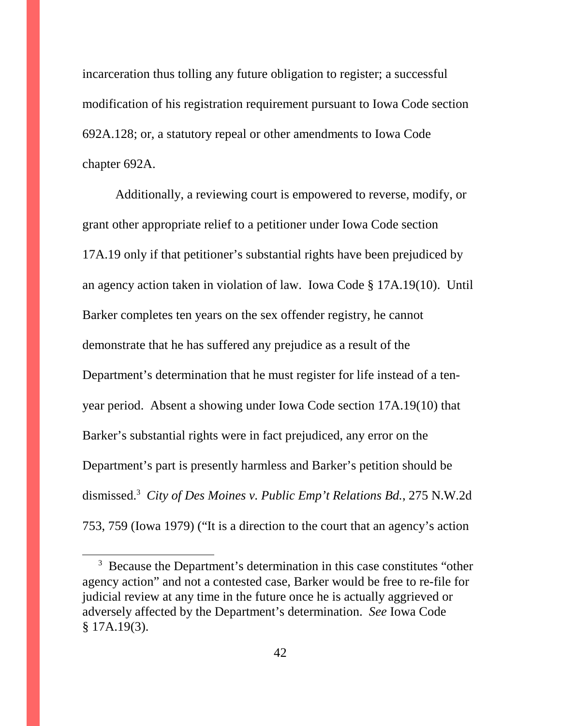incarceration thus tolling any future obligation to register; a successful modification of his registration requirement pursuant to Iowa Code section 692A.128; or, a statutory repeal or other amendments to Iowa Code chapter 692A.

Additionally, a reviewing court is empowered to reverse, modify, or grant other appropriate relief to a petitioner under Iowa Code section 17A.19 only if that petitioner's substantial rights have been prejudiced by an agency action taken in violation of law. Iowa Code § 17A.19(10). Until Barker completes ten years on the sex offender registry, he cannot demonstrate that he has suffered any prejudice as a result of the Department's determination that he must register for life instead of a tenyear period. Absent a showing under Iowa Code section 17A.19(10) that Barker's substantial rights were in fact prejudiced, any error on the Department's part is presently harmless and Barker's petition should be dismissed.<sup>3</sup> *City of Des Moines v. Public Emp't Relations Bd.*, 275 N.W.2d 753, 759 (Iowa 1979) ("It is a direction to the court that an agency's action

<sup>&</sup>lt;sup>3</sup> Because the Department's determination in this case constitutes "other agency action" and not a contested case, Barker would be free to re-file for judicial review at any time in the future once he is actually aggrieved or adversely affected by the Department's determination. *See* Iowa Code § 17A.19(3).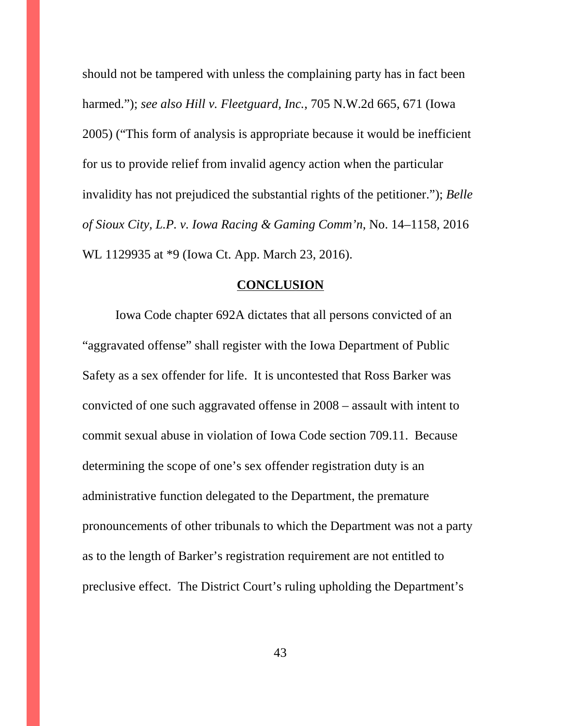should not be tampered with unless the complaining party has in fact been harmed."); *see also Hill v. Fleetguard, Inc.*, 705 N.W.2d 665, 671 (Iowa 2005) ("This form of analysis is appropriate because it would be inefficient for us to provide relief from invalid agency action when the particular invalidity has not prejudiced the substantial rights of the petitioner."); *Belle of Sioux City, L.P. v. Iowa Racing & Gaming Comm'n*, No. 14–1158, 2016 WL 1129935 at \*9 (Iowa Ct. App. March 23, 2016).

#### **CONCLUSION**

Iowa Code chapter 692A dictates that all persons convicted of an "aggravated offense" shall register with the Iowa Department of Public Safety as a sex offender for life. It is uncontested that Ross Barker was convicted of one such aggravated offense in 2008 – assault with intent to commit sexual abuse in violation of Iowa Code section 709.11. Because determining the scope of one's sex offender registration duty is an administrative function delegated to the Department, the premature pronouncements of other tribunals to which the Department was not a party as to the length of Barker's registration requirement are not entitled to preclusive effect. The District Court's ruling upholding the Department's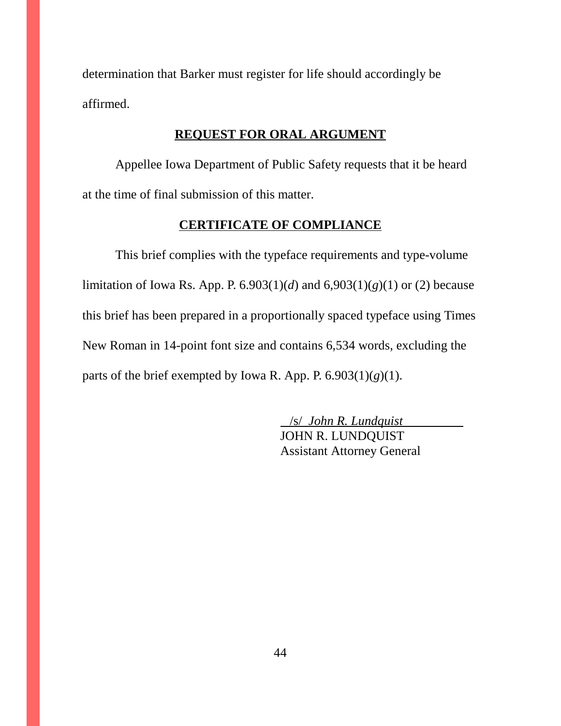determination that Barker must register for life should accordingly be affirmed.

## **REQUEST FOR ORAL ARGUMENT**

Appellee Iowa Department of Public Safety requests that it be heard at the time of final submission of this matter.

## **CERTIFICATE OF COMPLIANCE**

This brief complies with the typeface requirements and type-volume limitation of Iowa Rs. App. P. 6.903(1)(*d*) and 6,903(1)(*g*)(1) or (2) because this brief has been prepared in a proportionally spaced typeface using Times New Roman in 14-point font size and contains 6,534 words, excluding the parts of the brief exempted by Iowa R. App. P.  $6.903(1)(g)(1)$ .

> /s/ *John R. Lundquist*  JOHN R. LUNDQUIST Assistant Attorney General